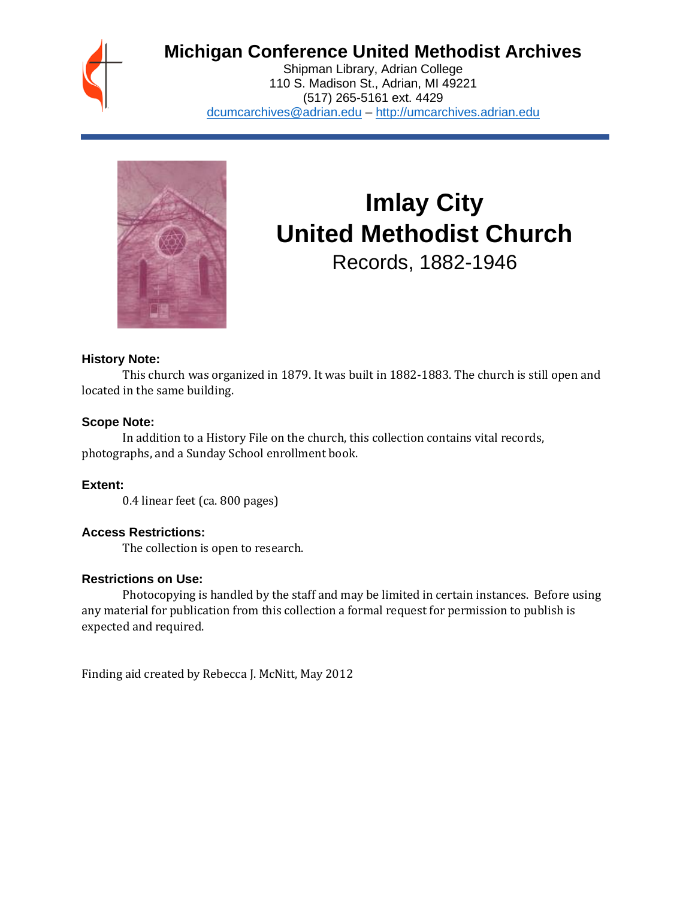## **Michigan Conference United Methodist Archives**

Shipman Library, Adrian College 110 S. Madison St., Adrian, MI 49221 (517) 265-5161 ext. 4429 [dcumcarchives@adrian.edu](mailto:dcumcarchives@adrian.edu) – [http://umcarchives.adrian.edu](http://umcarchives.adrian.edu/)



# **Imlay City United Methodist Church**

Records, 1882-1946

#### **History Note:**

This church was organized in 1879. It was built in 1882-1883. The church is still open and located in the same building.

#### **Scope Note:**

In addition to a History File on the church, this collection contains vital records, photographs, and a Sunday School enrollment book.

#### **Extent:**

0.4 linear feet (ca. 800 pages)

#### **Access Restrictions:**

The collection is open to research.

#### **Restrictions on Use:**

Photocopying is handled by the staff and may be limited in certain instances. Before using any material for publication from this collection a formal request for permission to publish is expected and required.

Finding aid created by Rebecca J. McNitt, May 2012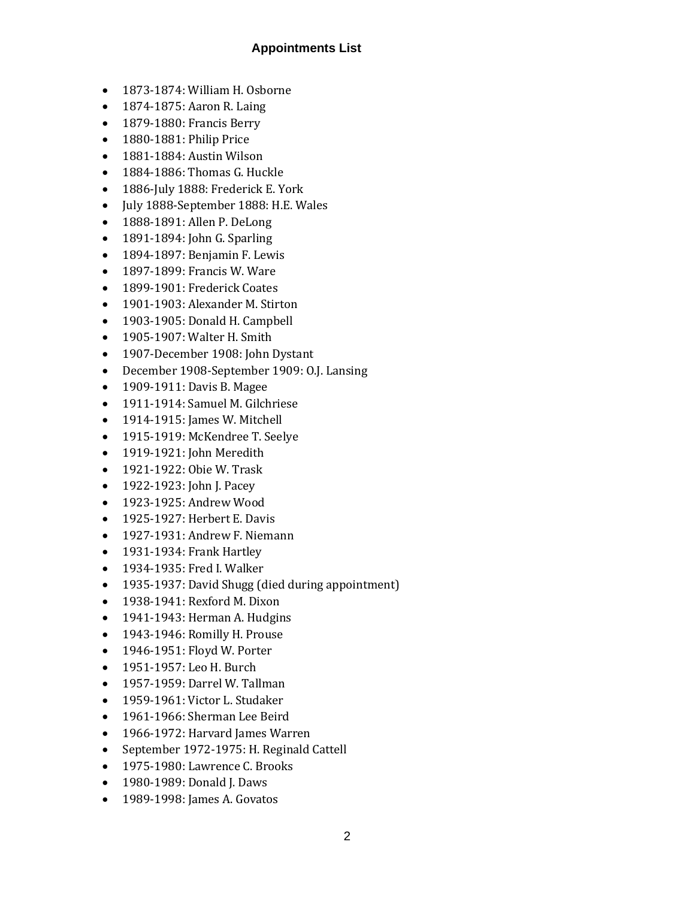#### **Appointments List**

- 1873-1874: William H. Osborne
- 1874-1875: Aaron R. Laing
- 1879-1880: Francis Berry
- 1880-1881: Philip Price
- 1881-1884: Austin Wilson
- 1884-1886: Thomas G. Huckle
- 1886-July 1888: Frederick E. York
- July 1888-September 1888: H.E. Wales
- 1888-1891: Allen P. DeLong
- 1891-1894: John G. Sparling
- 1894-1897: Benjamin F. Lewis
- 1897-1899: Francis W. Ware
- 1899-1901: Frederick Coates
- 1901-1903: Alexander M. Stirton
- 1903-1905: Donald H. Campbell
- 1905-1907: Walter H. Smith
- 1907-December 1908: John Dystant
- December 1908-September 1909: O.J. Lansing
- 1909-1911: Davis B. Magee
- 1911-1914: Samuel M. Gilchriese
- 1914-1915: James W. Mitchell
- 1915-1919: McKendree T. Seelye
- 1919-1921: John Meredith
- 1921-1922: Obie W. Trask
- 1922-1923: John J. Pacey
- 1923-1925: Andrew Wood
- 1925-1927: Herbert E. Davis
- 1927-1931: Andrew F. Niemann
- 1931-1934: Frank Hartley
- 1934-1935: Fred I. Walker
- 1935-1937: David Shugg (died during appointment)
- 1938-1941: Rexford M. Dixon
- 1941-1943: Herman A. Hudgins
- 1943-1946: Romilly H. Prouse
- 1946-1951: Floyd W. Porter
- 1951-1957: Leo H. Burch
- 1957-1959: Darrel W. Tallman
- 1959-1961: Victor L. Studaker
- 1961-1966: Sherman Lee Beird
- 1966-1972: Harvard James Warren
- September 1972-1975: H. Reginald Cattell
- 1975-1980: Lawrence C. Brooks
- 1980-1989: Donald J. Daws
- 1989-1998: James A. Govatos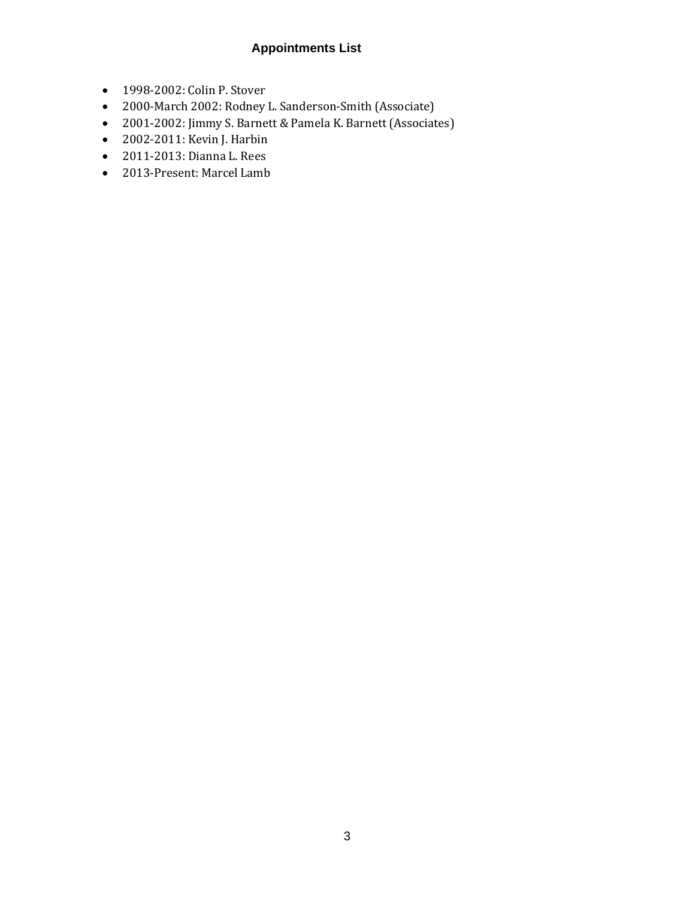### **Appointments List**

- 1998-2002: Colin P. Stover
- 2000-March 2002: Rodney L. Sanderson-Smith (Associate)
- 2001-2002: Jimmy S. Barnett & Pamela K. Barnett (Associates)
- 2002-2011: Kevin J. Harbin
- 2011-2013: Dianna L. Rees
- 2013-Present: Marcel Lamb